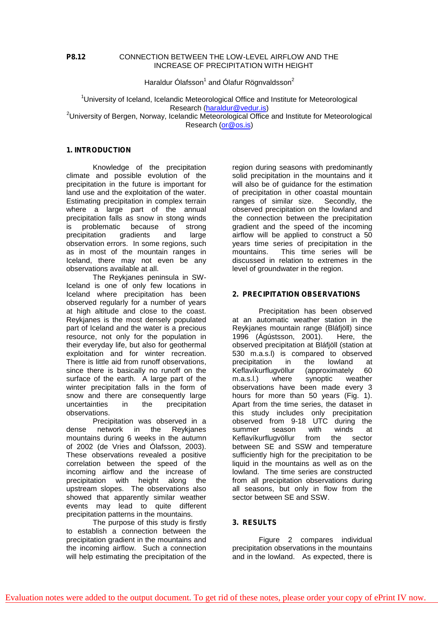## **P8.12** CONNECTION BETWEEN THE LOW-LEVEL AIRFLOW AND THE INCREASE OF PRECIPITATION WITH HEIGHT

Haraldur Ólafsson $^1$  and Ólafur Rögnvaldsson $^2$ 

 $1$ University of Iceland, Icelandic Meteorological Office and Institute for Meteorological Research ([haraldur@vedur.is](mailto:haraldur@vedur.is)) <sup>2</sup>University of Bergen, Norway, Icelandic Meteorological Office and Institute for Meteorological Research [\(or@os.is](mailto:or@os.is))

# **1. INTRODUCTION**

Knowledge of the precipitation climate and possible evolution of the precipitation in the future is important for land use and the exploitation of the water. Estimating precipitation in complex terrain where a large part of the annual precipitation falls as snow in stong winds is problematic because of strong precipitation gradients and large observation errors. In some regions, such as in most of the mountain ranges in Iceland, there may not even be any observations available at all.

The Reykjanes peninsula in SW-Iceland is one of only few locations in Iceland where precipitation has been observed regularly for a number of years at high altitude and close to the coast. Reykjanes is the most densely populated part of Iceland and the water is a precious resource, not only for the population in their everyday life, but also for geothermal exploitation and for winter recreation. There is little aid from runoff observations, since there is basically no runoff on the surface of the earth. A large part of the winter precipitation falls in the form of snow and there are consequently large uncertainties in the precipitation observations.

Precipitation was observed in a dense network in the Reykjanes mountains during 6 weeks in the autumn of 2002 (de Vries and Ólafsson, 2003). These observations revealed a positive correlation between the speed of the incoming airflow and the increase of precipitation with height along the upstream slopes. The observations also showed that apparently similar weather events may lead to quite different precipitation patterns in the mountains.

The purpose of this study is firstly to establish a connection between the precipitation gradient in the mountains and the incoming airflow. Such a connection will help estimating the precipitation of the

region during seasons with predominantly solid precipitation in the mountains and it will also be of guidance for the estimation of precipitation in other coastal mountain ranges of similar size. Secondly, the observed precipitation on the lowland and the connection between the precipitation gradient and the speed of the incoming airflow will be applied to construct a 50 years time series of precipitation in the mountains. This time series will be discussed in relation to extremes in the level of groundwater in the region.

## **2. PRECIPITATION OBSERVATIONS**

Precipitation has been observed at an automatic weather station in the Reykjanes mountain range (Bláfjöll) since 1996 (Ágústsson, 2001). Here, the observed precipitation at Bláfjöll (station at 530 m.a.s.l) is compared to observed precipitation in the lowland at Keflavíkurflugvöllur (approximately 60<br>m.a.s.l.) where synoptic weather m.a.s.l.) where synoptic weather observations have been made every 3 hours for more than 50 years (Fig. 1). Apart from the time series, the dataset in this study includes only precipitation observed from 9-18 UTC during the<br>summer season with winds at summer season with winds at Keflavíkurflugvöllur from the sector between SE and SSW and temperature sufficiently high for the precipitation to be liquid in the mountains as well as on the lowland. The time series are constructed from all precipitation observations during all seasons, but only in flow from the sector between SE and SSW.

#### **3. RESULTS**

Figure 2 compares individual precipitation observations in the mountains and in the lowland. As expected, there is

[Evaluation notes were added to the output document. To get rid of these notes, please order your copy of ePrint IV now.](http://support.leadtools.com/ltordermain.asp?ProdClass=EPRT1)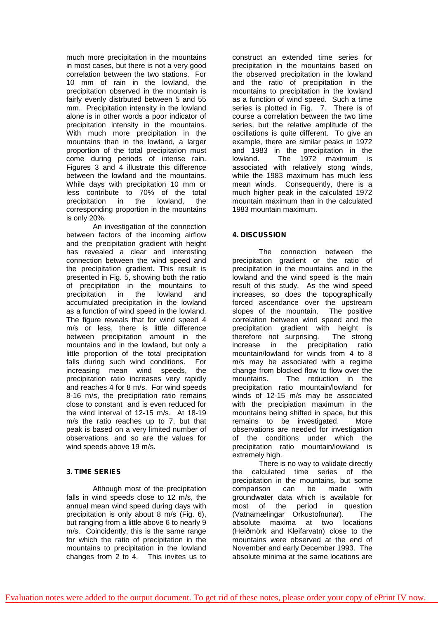much more precipitation in the mountains in most cases, but there is not a very good correlation between the two stations. For 10 mm of rain in the lowland, the precipitation observed in the mountain is fairly evenly distrbuted between 5 and 55 mm. Precipitation intensity in the lowland alone is in other words a poor indicator of precipitation intensity in the mountains. With much more precipitation in the mountains than in the lowland, a larger proportion of the total precipitation must come during periods of intense rain. Figures 3 and 4 illustrate this difference between the lowland and the mountains. While days with precipitation 10 mm or less contribute to 70% of the total precipitation in the lowland, the corresponding proportion in the mountains is only 20%.

An investigation of the connection between factors of the incoming airflow and the precipitation gradient with height has revealed a clear and interesting connection between the wind speed and the precipitation gradient. This result is presented in Fig. 5, showing both the ratio of precipitation in the mountains to precipitation in the lowland and accumulated precipitation in the lowland as a function of wind speed in the lowland. The figure reveals that for wind speed 4 m/s or less, there is little difference between precipitation amount in the mountains and in the lowland, but only a little proportion of the total precipitation falls during such wind conditions. For increasing mean wind speeds, the precipitation ratio increases very rapidly and reaches 4 for 8 m/s. For wind speeds 8-16 m/s, the precipitation ratio remains close to constant and is even reduced for the wind interval of 12-15 m/s. At 18-19 m/s the ratio reaches up to 7, but that peak is based on a very limited number of observations, and so are the values for wind speeds above 19 m/s.

# **3. TIME SERIES**

Although most of the precipitation falls in wind speeds close to 12 m/s, the annual mean wind speed during days with precipitation is only about 8 m/s (Fig. 6), but ranging from a little above 6 to nearly 9 m/s. Coincidently, this is the same range for which the ratio of precipitation in the mountains to precipitation in the lowland changes from 2 to 4. This invites us to

construct an extended time series for precipitation in the mountains based on the observed precipitation in the lowland and the ratio of precipitation in the mountains to precipitation in the lowland as a function of wind speed. Such a time series is plotted in Fig. 7. There is of course a correlation between the two time series, but the relative amplitude of the oscillations is quite different. To give an example, there are similar peaks in 1972 and 1983 in the precipitation in the lowland. The 1972 maximum is associated with relatively stong winds, while the 1983 maximum has much less mean winds. Consequently, there is a much higher peak in the calculated 1972 mountain maximum than in the calculated 1983 mountain maximum.

# **4. DISCUSSION**

The connection between the precipitation gradient or the ratio of precipitation in the mountains and in the lowland and the wind speed is the main result of this study. As the wind speed increases, so does the topographically forced ascendance over the upstream slopes of the mountain. The positive correlation between wind speed and the precipitation gradient with height is therefore not surprising. The strong increase in the precipitation ratio mountain/lowland for winds from 4 to 8 m/s may be associated with a regime change from blocked flow to flow over the mountains. The reduction in the precipitation ratio mountain/lowland for winds of 12-15 m/s may be associated with the precipiation maximum in the mountains being shifted in space, but this remains to be investigated. More observations are needed for investigation of the conditions under which the precipitation ratio mountain/lowland is extremely high.

There is no way to validate directly the calculated time series of the precipitation in the mountains, but some comparison can be made with groundwater data which is available for most of the period in question (Vatnamælingar Orkustofnunar). The absolute maxima at two locations (Heiðmörk and Kleifarvatn) close to the mountains were observed at the end of November and early December 1993. The absolute minima at the same locations are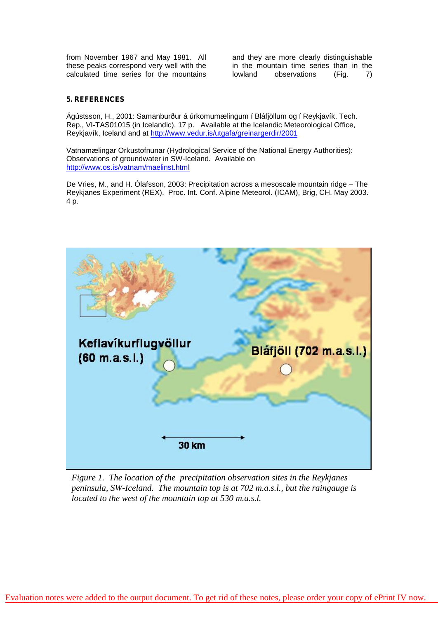from November 1967 and May 1981. All these peaks correspond very well with the calculated time series for the mountains

and they are more clearly distinguishable in the mountain time series than in the lowland observations (Fig. 7)

# **5. REFERENCES**

Ágústsson, H., 2001: Samanburður á úrkomumælingum í Bláfjöllum og í Reykjavík. Tech. Rep., VI-TAS01015 (in Icelandic). 17 p. Available at the Icelandic Meteorological Office, Reykjavík, Iceland and at <http://www.vedur.is/utgafa/greinargerdir/2001>

Vatnamælingar Orkustofnunar (Hydrological Service of the National Energy Authorities): Observations of groundwater in SW-Iceland. Available on <http://www.os.is/vatnam/maelinst.html>

De Vries, M., and H. Ólafsson, 2003: Precipitation across a mesoscale mountain ridge – The Reykjanes Experiment (REX). Proc. Int. Conf. Alpine Meteorol. (ICAM), Brig, CH, May 2003. 4 p.



*Figure 1. The location of the precipitation observation sites in the Reykjanes peninsula, SW-Iceland. The mountain top is at 702 m.a.s.l., but the raingauge is located to the west of the mountain top at 530 m.a.s.l.*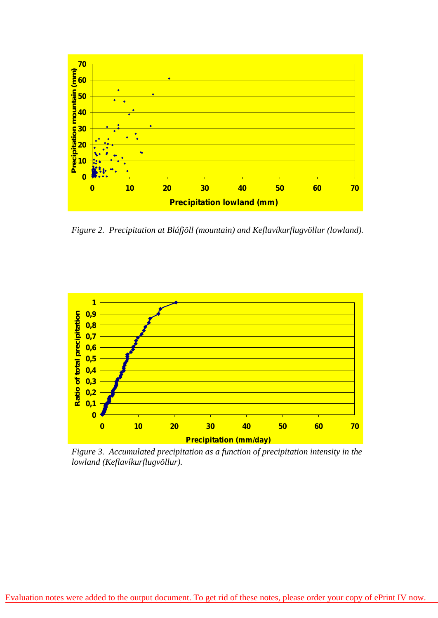

*Figure 2. Precipitation at Bláfjöll (mountain) and Keflavíkurflugvöllur (lowland).*



*Figure 3. Accumulated precipitation as a function of precipitation intensity in the lowland (Keflavíkurflugvöllur).*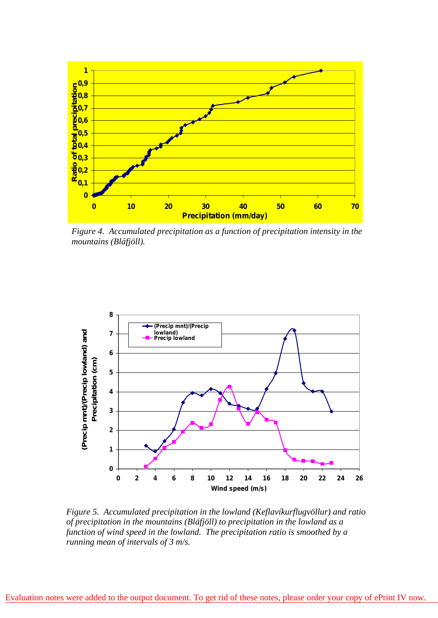

*Figure 4. Accumulated precipitation as a function of precipitation intensity in the mountains (Bláfjöll).* 

**Precipitation in PRE-REX**



*Figure 5. Accumulated precipitation in the lowland (Keflavíkurflugvöllur) and ratio of precipitation in the mountains (Bláfjöll) to precipitation in the lowland as a function of wind speed in the lowland. The precipitation ratio is smoothed by a running mean of intervals of 3 m/s.*